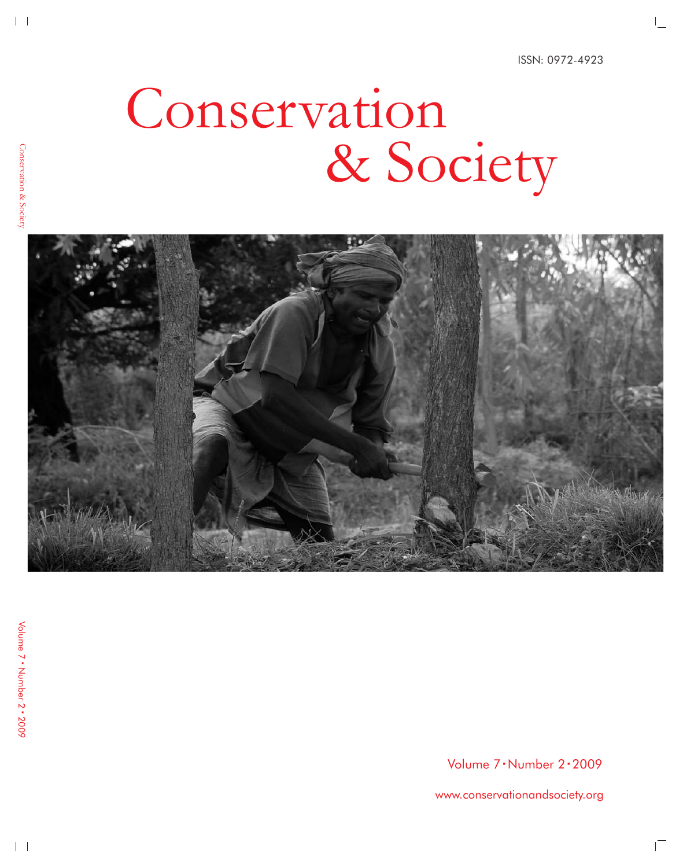# Conservation & Society



Volume 7 · Number 2 · 2009

www.conservationandsociety.org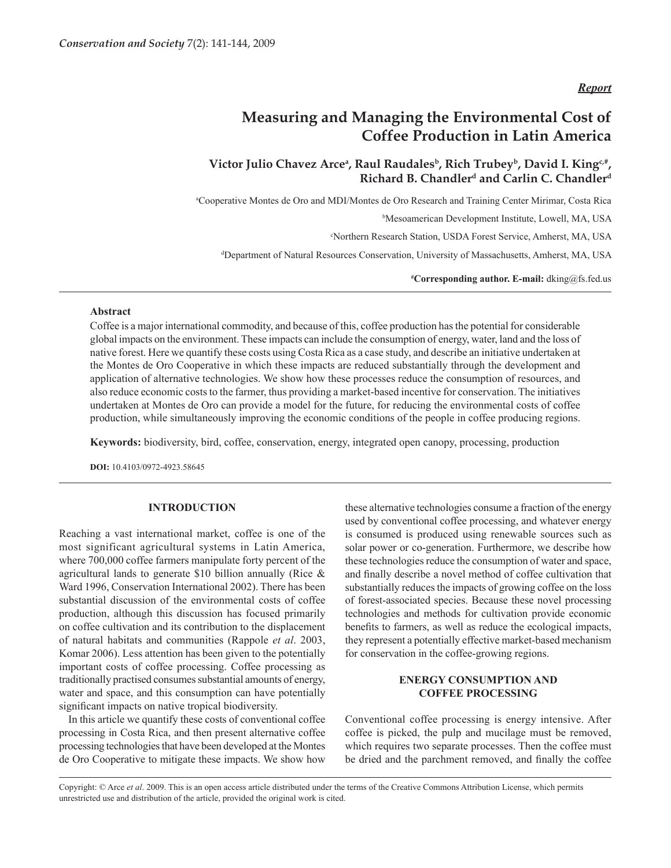*Report*

# **Measuring and Managing the Environmental Cost of Coffee Production in Latin America**

# Victor Julio Chavez Arceª, Raul Raudales<sup>b</sup>, Rich Trubey<sup>b</sup>, David I. King<sup>c,#</sup>, **Richard B. Chandlerd and Carlin C. Chandlerd**

a Cooperative Montes de Oro and MDI/Montes de Oro Research and Training Center Mirimar, Costa Rica

b Mesoamerican Development Institute, Lowell, MA, USA

c Northern Research Station, USDA Forest Service, Amherst, MA, USA

d Department of Natural Resources Conservation, University of Massachusetts, Amherst, MA, USA

**# Corresponding author. E-mail:** dking@fs.fed.us

#### **Abstract**

Coffee is a major international commodity, and because of this, coffee production has the potential for considerable global impacts on the environment. These impacts can include the consumption of energy, water, land and the loss of native forest. Here we quantify these costs using Costa Rica as a case study, and describe an initiative undertaken at the Montes de Oro Cooperative in which these impacts are reduced substantially through the development and application of alternative technologies. We show how these processes reduce the consumption of resources, and also reduce economic costs to the farmer, thus providing a market-based incentive for conservation. The initiatives undertaken at Montes de Oro can provide a model for the future, for reducing the environmental costs of coffee production, while simultaneously improving the economic conditions of the people in coffee producing regions.

**Keywords:** biodiversity, bird, coffee, conservation, energy, integrated open canopy, processing, production

**DOI:** 10.4103/0972-4923.58645

## **INTRODUCTION**

Reaching a vast international market, coffee is one of the most significant agricultural systems in Latin America, where 700,000 coffee farmers manipulate forty percent of the agricultural lands to generate \$10 billion annually (Rice & Ward 1996, Conservation International 2002). There has been substantial discussion of the environmental costs of coffee production, although this discussion has focused primarily on coffee cultivation and its contribution to the displacement of natural habitats and communities (Rappole *et al*. 2003, Komar 2006). Less attention has been given to the potentially important costs of coffee processing. Coffee processing as traditionally practised consumes substantial amounts of energy, water and space, and this consumption can have potentially significant impacts on native tropical biodiversity.

In this article we quantify these costs of conventional coffee processing in Costa Rica, and then present alternative coffee processing technologies that have been developed at the Montes de Oro Cooperative to mitigate these impacts. We show how these alternative technologies consume a fraction of the energy used by conventional coffee processing, and whatever energy is consumed is produced using renewable sources such as solar power or co-generation. Furthermore, we describe how these technologies reduce the consumption of water and space, and finally describe a novel method of coffee cultivation that substantially reduces the impacts of growing coffee on the loss of forest-associated species. Because these novel processing technologies and methods for cultivation provide economic benefits to farmers, as well as reduce the ecological impacts, they represent a potentially effective market-based mechanism for conservation in the coffee-growing regions.

# **ENERGY CONSUMPTION AND COFFEE PROCESSING**

Conventional coffee processing is energy intensive. After coffee is picked, the pulp and mucilage must be removed, which requires two separate processes. Then the coffee must be dried and the parchment removed, and finally the coffee

Copyright: © Arce *et al*. 2009. This is an open access article distributed under the terms of the Creative Commons Attribution License, which permits unrestricted use and distribution of the article, provided the original work is cited.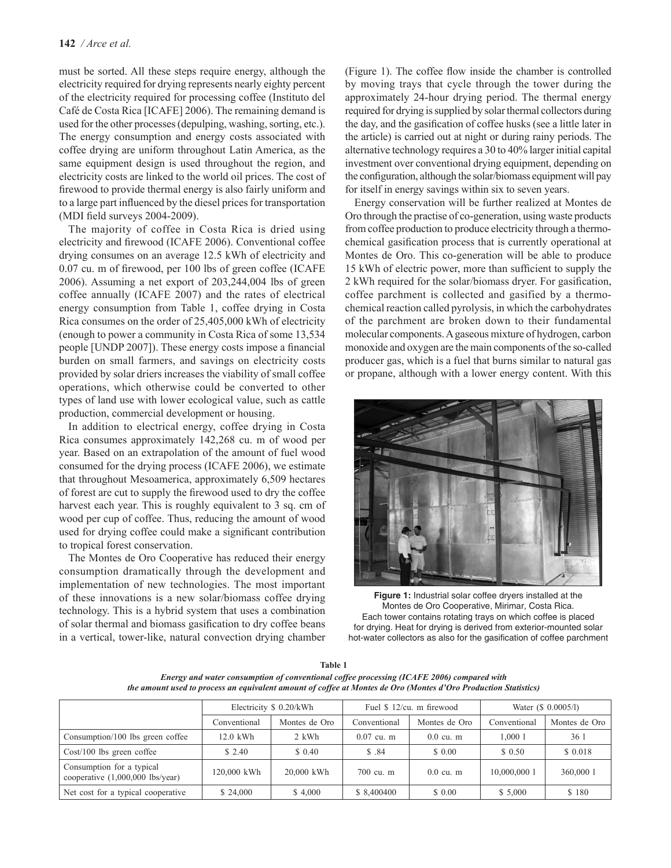must be sorted. All these steps require energy, although the electricity required for drying represents nearly eighty percent of the electricity required for processing coffee (Instituto del Café de Costa Rica [ICAFE] 2006). The remaining demand is used for the other processes (depulping, washing, sorting, etc.). The energy consumption and energy costs associated with coffee drying are uniform throughout Latin America, as the same equipment design is used throughout the region, and electricity costs are linked to the world oil prices. The cost of firewood to provide thermal energy is also fairly uniform and to a large part influenced by the diesel prices for transportation (MDI field surveys 2004-2009).

The majority of coffee in Costa Rica is dried using electricity and firewood (ICAFE 2006). Conventional coffee drying consumes on an average 12.5 kWh of electricity and 0.07 cu. m of firewood, per 100 lbs of green coffee (ICAFE 2006). Assuming a net export of 203,244,004 lbs of green coffee annually (ICAFE 2007) and the rates of electrical energy consumption from Table 1, coffee drying in Costa Rica consumes on the order of 25,405,000 kWh of electricity (enough to power a community in Costa Rica of some 13,534 people [UNDP 2007]). These energy costs impose a financial burden on small farmers, and savings on electricity costs provided by solar driers increases the viability of small coffee operations, which otherwise could be converted to other types of land use with lower ecological value, such as cattle production, commercial development or housing.

In addition to electrical energy, coffee drying in Costa Rica consumes approximately 142,268 cu. m of wood per year. Based on an extrapolation of the amount of fuel wood consumed for the drying process (ICAFE 2006), we estimate that throughout Mesoamerica, approximately 6,509 hectares of forest are cut to supply the firewood used to dry the coffee harvest each year. This is roughly equivalent to 3 sq. cm of wood per cup of coffee. Thus, reducing the amount of wood used for drying coffee could make a significant contribution to tropical forest conservation.

The Montes de Oro Cooperative has reduced their energy consumption dramatically through the development and implementation of new technologies. The most important of these innovations is a new solar/biomass coffee drying technology. This is a hybrid system that uses a combination of solar thermal and biomass gasification to dry coffee beans in a vertical, tower-like, natural convection drying chamber (Figure 1). The coffee flow inside the chamber is controlled by moving trays that cycle through the tower during the approximately 24-hour drying period. The thermal energy required for drying is supplied by solar thermal collectors during the day, and the gasification of coffee husks (see a little later in the article) is carried out at night or during rainy periods. The alternative technology requires a 30 to 40% larger initial capital investment over conventional drying equipment, depending on the configuration, although the solar/biomass equipment will pay for itself in energy savings within six to seven years.

Energy conservation will be further realized at Montes de Oro through the practise of co-generation, using waste products from coffee production to produce electricity through a thermochemical gasification process that is currently operational at Montes de Oro. This co-generation will be able to produce 15 kWh of electric power, more than sufficient to supply the 2 kWh required for the solar/biomass dryer. For gasification, coffee parchment is collected and gasified by a thermochemical reaction called pyrolysis, in which the carbohydrates of the parchment are broken down to their fundamental molecular components. A gaseous mixture of hydrogen, carbon monoxide and oxygen are the main components of the so-called producer gas, which is a fuel that burns similar to natural gas or propane, although with a lower energy content. With this



**Figure 1:** Industrial solar coffee dryers installed at the Montes de Oro Cooperative, Mirimar, Costa Rica. Each tower contains rotating trays on which coffee is placed for drying. Heat for drying is derived from exterior-mounted solar hot-water collectors as also for the gasification of coffee parchment

| Table 1                                                                                                         |
|-----------------------------------------------------------------------------------------------------------------|
| Energy and water consumption of conventional coffee processing (ICAFE 2006) compared with                       |
| the amount used to process an equivalent amount of coffee at Montes de Oro (Montes d'Oro Production Statistics) |

|                                                                 | Electricity \$ 0.20/kWh |               | Fuel \$ 12/cu, m firewood |               | Water (\$ 0.0005/l) |               |
|-----------------------------------------------------------------|-------------------------|---------------|---------------------------|---------------|---------------------|---------------|
|                                                                 | Conventional            | Montes de Oro | Conventional              | Montes de Oro | Conventional        | Montes de Oro |
| Consumption/100 lbs green coffee                                | $12.0$ kWh              | 2 kWh         | $0.07$ cu. m              | $0.0$ cu. m   | 1.000 1             | 36 1          |
| $Cost/100$ lbs green coffee                                     | \$2.40                  | \$ 0.40       | \$ .84                    | \$ 0.00       | \$0.50              | \$ 0.018      |
| Consumption for a typical<br>cooperative $(1,000,000$ lbs/year) | 120.000 kWh             | 20,000 kWh    | $700 \text{ cu}$ m        | $0.0$ cu. m   | 10,000,000 1        | 360,000 1     |
| Net cost for a typical cooperative                              | \$24,000                | \$4,000       | \$ 8,400400               | \$ 0.00       | \$5,000             | \$180         |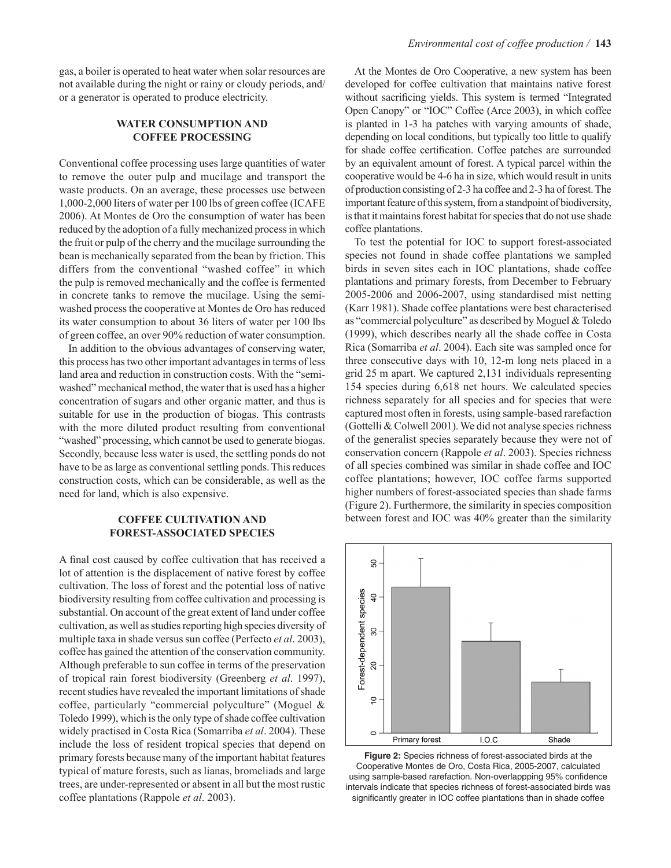gas, a boiler is operated to heat water when solar resources are not available during the night or rainy or cloudy periods, and/ or a generator is operated to produce electricity.

### **WATER CONSUMPTION AND COFFEE PROCESSING**

Conventional coffee processing uses large quantities of water to remove the outer pulp and mucilage and transport the waste products. On an average, these processes use between 1,000-2,000 liters of water per 100 lbs of green coffee (ICAFE 2006). At Montes de Oro the consumption of water has been reduced by the adoption of a fully mechanized process in which the fruit or pulp of the cherry and the mucilage surrounding the bean is mechanically separated from the bean by friction. This differs from the conventional "washed coffee" in which the pulp is removed mechanically and the coffee is fermented in concrete tanks to remove the mucilage. Using the semiwashed process the cooperative at Montes de Oro has reduced its water consumption to about 36 liters of water per 100 lbs of green coffee, an over 90% reduction of water consumption.

In addition to the obvious advantages of conserving water, this process has two other important advantages in terms of less land area and reduction in construction costs. With the "semiwashed" mechanical method, the water that is used has a higher concentration of sugars and other organic matter, and thus is suitable for use in the production of biogas. This contrasts with the more diluted product resulting from conventional "washed" processing, which cannot be used to generate biogas. Secondly, because less water is used, the settling ponds do not have to be as large as conventional settling ponds. This reduces construction costs, which can be considerable, as well as the need for land, which is also expensive.

#### **COFFEE CULTIVATION AND FOREST-ASSOCIATED SPECIES**

A final cost caused by coffee cultivation that has received a lot of attention is the displacement of native forest by coffee cultivation. The loss of forest and the potential loss of native biodiversity resulting from coffee cultivation and processing is substantial. On account of the great extent of land under coffee cultivation, as well as studies reporting high species diversity of multiple taxa in shade versus sun coffee (Perfecto *et al*. 2003), coffee has gained the attention of the conservation community. Although preferable to sun coffee in terms of the preservation of tropical rain forest biodiversity (Greenberg *et al*. 1997), recent studies have revealed the important limitations of shade coffee, particularly "commercial polyculture" (Moguel & Toledo 1999), which is the only type of shade coffee cultivation widely practised in Costa Rica (Somarriba *et al*. 2004). These include the loss of resident tropical species that depend on primary forests because many of the important habitat features typical of mature forests, such as lianas, bromeliads and large trees, are under-represented or absent in all but the most rustic coffee plantations (Rappole *et al*. 2003).

At the Montes de Oro Cooperative, a new system has been developed for coffee cultivation that maintains native forest without sacrificing yields. This system is termed "Integrated Open Canopy" or "IOC" Coffee (Arce 2003), in which coffee is planted in 1-3 ha patches with varying amounts of shade, depending on local conditions, but typically too little to qualify for shade coffee certification. Coffee patches are surrounded by an equivalent amount of forest. A typical parcel within the cooperative would be 4-6 ha in size, which would result in units of production consisting of 2-3 ha coffee and 2-3 ha of forest. The important feature of this system, from a standpoint of biodiversity, is that it maintains forest habitat for species that do not use shade coffee plantations.

To test the potential for IOC to support forest-associated species not found in shade coffee plantations we sampled birds in seven sites each in IOC plantations, shade coffee plantations and primary forests, from December to February 2005-2006 and 2006-2007, using standardised mist netting (Karr 1981). Shade coffee plantations were best characterised as "commercial polyculture" as described by Moguel & Toledo (1999), which describes nearly all the shade coffee in Costa Rica (Somarriba *et al*. 2004). Each site was sampled once for three consecutive days with 10, 12-m long nets placed in a grid 25 m apart. We captured 2,131 individuals representing 154 species during 6,618 net hours. We calculated species richness separately for all species and for species that were captured most often in forests, using sample-based rarefaction (Gottelli & Colwell 2001). We did not analyse species richness of the generalist species separately because they were not of conservation concern (Rappole *et al*. 2003). Species richness of all species combined was similar in shade coffee and IOC coffee plantations; however, IOC coffee farms supported higher numbers of forest-associated species than shade farms (Figure 2). Furthermore, the similarity in species composition between forest and IOC was 40% greater than the similarity



**Figure 2:** Species richness of forest-associated birds at the Cooperative Montes de Oro, Costa Rica, 2005-2007, calculated using sample-based rarefaction. Non-overlappping 95% confidence intervals indicate that species richness of forest-associated birds was significantly greater in IOC coffee plantations than in shade coffee